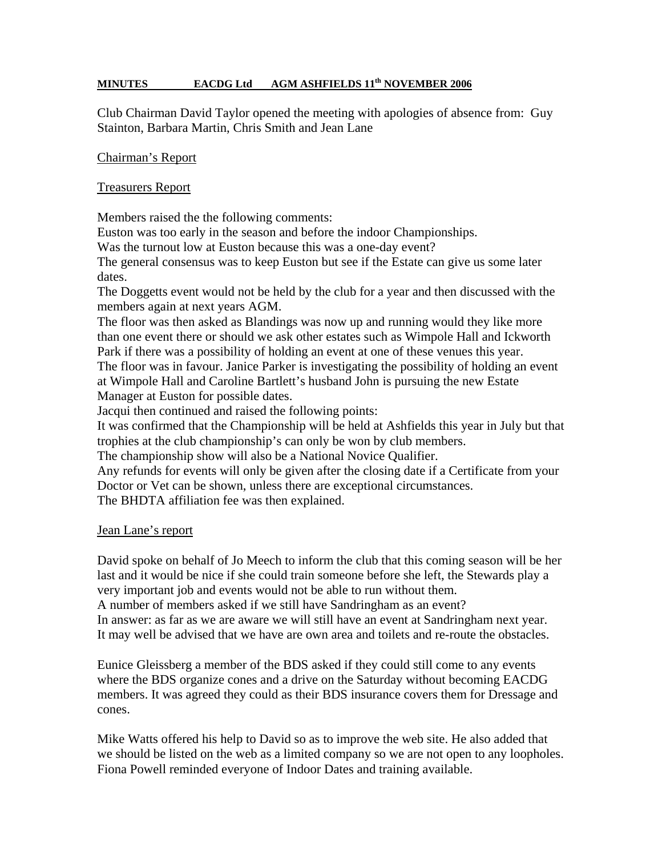## **MINUTES** EACDG Ltd AGM ASHFIELDS 11<sup>th</sup> NOVEMBER 2006

Club Chairman David Taylor opened the meeting with apologies of absence from: Guy Stainton, Barbara Martin, Chris Smith and Jean Lane

#### Chairman's Report

### Treasurers Report

Members raised the the following comments:

Euston was too early in the season and before the indoor Championships.

Was the turnout low at Euston because this was a one-day event?

The general consensus was to keep Euston but see if the Estate can give us some later dates.

The Doggetts event would not be held by the club for a year and then discussed with the members again at next years AGM.

The floor was then asked as Blandings was now up and running would they like more than one event there or should we ask other estates such as Wimpole Hall and Ickworth Park if there was a possibility of holding an event at one of these venues this year. The floor was in favour. Janice Parker is investigating the possibility of holding an event at Wimpole Hall and Caroline Bartlett's husband John is pursuing the new Estate Manager at Euston for possible dates.

Jacqui then continued and raised the following points:

It was confirmed that the Championship will be held at Ashfields this year in July but that trophies at the club championship's can only be won by club members.

The championship show will also be a National Novice Qualifier.

Any refunds for events will only be given after the closing date if a Certificate from your Doctor or Vet can be shown, unless there are exceptional circumstances.

The BHDTA affiliation fee was then explained.

#### Jean Lane's report

David spoke on behalf of Jo Meech to inform the club that this coming season will be her last and it would be nice if she could train someone before she left, the Stewards play a very important job and events would not be able to run without them.

A number of members asked if we still have Sandringham as an event?

In answer: as far as we are aware we will still have an event at Sandringham next year. It may well be advised that we have are own area and toilets and re-route the obstacles.

Eunice Gleissberg a member of the BDS asked if they could still come to any events where the BDS organize cones and a drive on the Saturday without becoming EACDG members. It was agreed they could as their BDS insurance covers them for Dressage and cones.

Mike Watts offered his help to David so as to improve the web site. He also added that we should be listed on the web as a limited company so we are not open to any loopholes. Fiona Powell reminded everyone of Indoor Dates and training available.